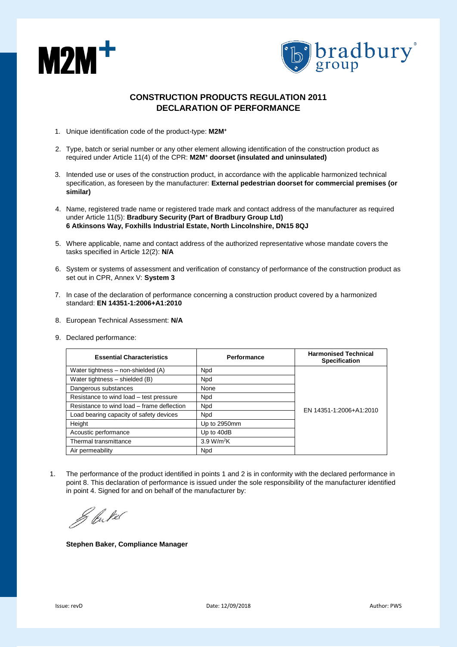



## **CONSTRUCTION PRODUCTS REGULATION 2011 DECLARATION OF PERFORMANCE**

- 1. Unique identification code of the product-type: **M2M<sup>+</sup>**
- 2. Type, batch or serial number or any other element allowing identification of the construction product as required under Article 11(4) of the CPR: **M2M<sup>+</sup> doorset (insulated and uninsulated)**
- 3. Intended use or uses of the construction product, in accordance with the applicable harmonized technical specification, as foreseen by the manufacturer: **External pedestrian doorset for commercial premises (or similar)**
- 4. Name, registered trade name or registered trade mark and contact address of the manufacturer as required under Article 11(5): **Bradbury Security (Part of Bradbury Group Ltd) 6 Atkinsons Way, Foxhills Industrial Estate, North Lincolnshire, DN15 8QJ**
- 5. Where applicable, name and contact address of the authorized representative whose mandate covers the tasks specified in Article 12(2): **N/A**
- 6. System or systems of assessment and verification of constancy of performance of the construction product as set out in CPR, Annex V: **System 3**
- 7. In case of the declaration of performance concerning a construction product covered by a harmonized standard: **EN 14351-1:2006+A1:2010**
- 8. European Technical Assessment: **N/A**
- 9. Declared performance:

| <b>Essential Characteristics</b>           | Performance            | <b>Harmonised Technical</b><br><b>Specification</b> |
|--------------------------------------------|------------------------|-----------------------------------------------------|
| Water tightness – non-shielded (A)         | <b>Npd</b>             | EN 14351-1:2006+A1:2010                             |
| Water tightness - shielded (B)             | <b>Npd</b>             |                                                     |
| Dangerous substances                       | None                   |                                                     |
| Resistance to wind load - test pressure    | <b>Npd</b>             |                                                     |
| Resistance to wind load – frame deflection | <b>Npd</b>             |                                                     |
| Load bearing capacity of safety devices    | <b>Npd</b>             |                                                     |
| Height                                     | Up to 2950mm           |                                                     |
| Acoustic performance                       | Up to 40dB             |                                                     |
| Thermal transmittance                      | 3.9 W/m <sup>2</sup> K |                                                     |
| Air permeability                           | Npd                    |                                                     |

1. The performance of the product identified in points 1 and 2 is in conformity with the declared performance in point 8. This declaration of performance is issued under the sole responsibility of the manufacturer identified in point 4. Signed for and on behalf of the manufacturer by:

& butel

**Stephen Baker, Compliance Manager**